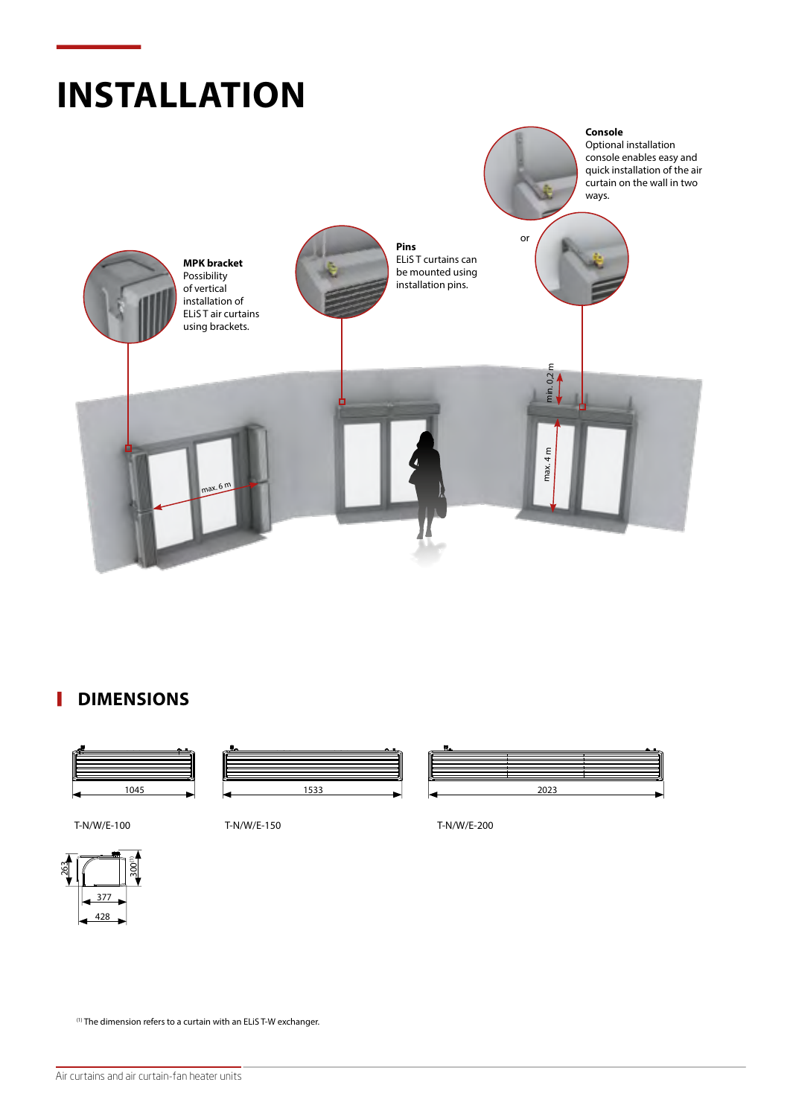

#### П **DIMENSIONS**



T-N/W/E-100 T-N/W/E-150 T-N/W/E-200



377 428 263 300(1)

(1) The dimension refers to a curtain with an ELiS T-W exchanger.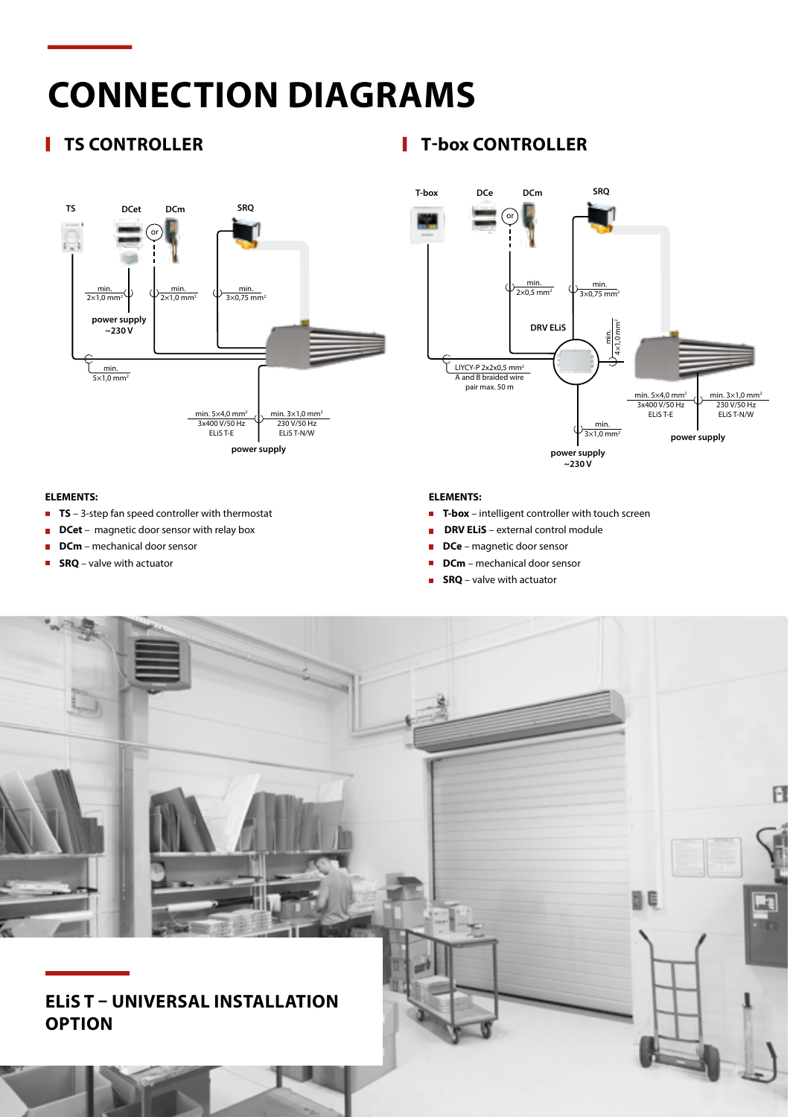# **CONNECTION DIAGRAMS**



#### **ELEMENTS:**

- **TS** 3-step fan speed controller with thermostat
- **DCet** magnetic door sensor with relay box
- **DCm** mechanical door sensor
- **SRQ** valve with actuator

### **TS CONTROLLER T-box CONTROLLER**



### **ELEMENTS:**

- **F** T-box intelligent controller with touch screen
- **DRV ELIS** external control module
- **DCe** magnetic door sensor
- **DCm** mechanical door sensor
- **SRQ** valve with actuator